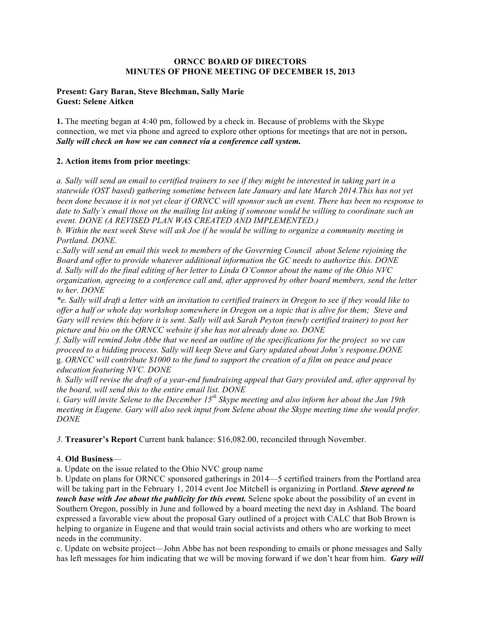### **ORNCC BOARD OF DIRECTORS MINUTES OF PHONE MEETING OF DECEMBER 15, 2013**

## **Present: Gary Baran, Steve Blechman, Sally Marie Guest: Selene Aitken**

**1.** The meeting began at 4:40 pm, followed by a check in. Because of problems with the Skype connection, we met via phone and agreed to explore other options for meetings that are not in person**.**  *Sally will check on how we can connect via a conference call system.*

# **2. Action items from prior meetings**:

*a. Sally will send an email to certified trainers to see if they might be interested in taking part in a statewide (OST based) gathering sometime between late January and late March 2014.This has not yet been done because it is not yet clear if ORNCC will sponsor such an event. There has been no response to date to Sally's email those on the mailing list asking if someone would be willing to coordinate such an event. DONE (A REVISED PLAN WAS CREATED AND IMPLEMENTED.)*

*b. Within the next week Steve will ask Joe if he would be willing to organize a community meeting in Portland. DONE.* 

*c.Sally will send an email this week to members of the Governing Council about Selene rejoining the Board and offer to provide whatever additional information the GC needs to authorize this. DONE d. Sally will do the final editing of her letter to Linda O'Connor about the name of the Ohio NVC organization, agreeing to a conference call and, after approved by other board members, send the letter to her. DONE*

*\*e. Sally will draft a letter with an invitation to certified trainers in Oregon to see if they would like to offer a half or whole day workshop somewhere in Oregon on a topic that is alive for them; Steve and Gary will review this before it is sent. Sally will ask Sarah Peyton (newly certified trainer) to post her picture and bio on the ORNCC website if she has not already done so. DONE*

*f. Sally will remind John Abbe that we need an outline of the specifications for the project so we can proceed to a bidding process. Sally will keep Steve and Gary updated about John's response.DONE* g. *ORNCC will contribute \$1000 to the fund to support the creation of a film on peace and peace education featuring NVC. DONE*

*h. Sally will revise the draft of a year-end fundraising appeal that Gary provided and, after approval by the board, will send this to the entire email list. DONE*

*i. Gary will invite Selene to the December 15th Skype meeting and also inform her about the Jan 19th meeting in Eugene. Gary will also seek input from Selene about the Skype meeting time she would prefer. DONE*

*3.* **Treasurer's Report** Current bank balance: \$16,082.00, reconciled through November.

## 4. **Old Business**—

a. Update on the issue related to the Ohio NVC group name

b. Update on plans for ORNCC sponsored gatherings in 2014—5 certified trainers from the Portland area will be taking part in the February 1, 2014 event Joe Mitchell is organizing in Portland. *Steve agreed to touch base with Joe about the publicity for this event.* Selene spoke about the possibility of an event in Southern Oregon, possibly in June and followed by a board meeting the next day in Ashland. The board expressed a favorable view about the proposal Gary outlined of a project with CALC that Bob Brown is helping to organize in Eugene and that would train social activists and others who are working to meet needs in the community.

c. Update on website project—John Abbe has not been responding to emails or phone messages and Sally has left messages for him indicating that we will be moving forward if we don't hear from him. *Gary will*